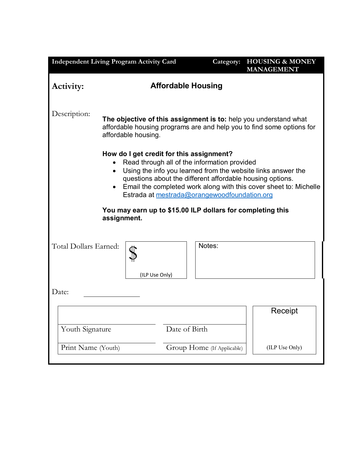| <b>Independent Living Program Activity Card</b>                                                                                                                                                                                                                                                                                            |                                                                                                                                                                  |               | Category:                  | <b>HOUSING &amp; MONEY</b><br><b>MANAGEMENT</b> |  |
|--------------------------------------------------------------------------------------------------------------------------------------------------------------------------------------------------------------------------------------------------------------------------------------------------------------------------------------------|------------------------------------------------------------------------------------------------------------------------------------------------------------------|---------------|----------------------------|-------------------------------------------------|--|
| Activity:                                                                                                                                                                                                                                                                                                                                  | <b>Affordable Housing</b>                                                                                                                                        |               |                            |                                                 |  |
| Description:                                                                                                                                                                                                                                                                                                                               | The objective of this assignment is to: help you understand what<br>affordable housing programs are and help you to find some options for<br>affordable housing. |               |                            |                                                 |  |
| How do I get credit for this assignment?<br>Read through all of the information provided<br>Using the info you learned from the website links answer the<br>questions about the different affordable housing options.<br>Email the completed work along with this cover sheet to: Michelle<br>Estrada at mestrada@orangewoodfoundation.org |                                                                                                                                                                  |               |                            |                                                 |  |
| You may earn up to \$15.00 ILP dollars for completing this<br>assignment.                                                                                                                                                                                                                                                                  |                                                                                                                                                                  |               |                            |                                                 |  |
| Total Dollars Earned:                                                                                                                                                                                                                                                                                                                      | (ILP Use Only)                                                                                                                                                   |               | Notes:                     |                                                 |  |
| Date:                                                                                                                                                                                                                                                                                                                                      |                                                                                                                                                                  |               |                            |                                                 |  |
| Youth Signature                                                                                                                                                                                                                                                                                                                            |                                                                                                                                                                  | Date of Birth |                            | Receipt                                         |  |
| Print Name (Youth)                                                                                                                                                                                                                                                                                                                         |                                                                                                                                                                  |               | Group Home (If Applicable) | (ILP Use Only)                                  |  |